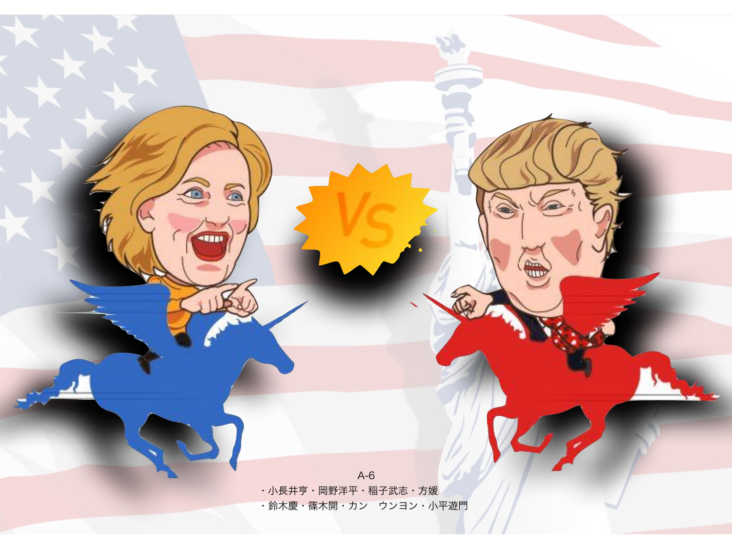A-6 ・小長井亨・岡野洋平・稲子武志・方媛 ・鈴木慶・篠木開・カン ウンヨン・小平遊門

 $\triangle$ 

 $\widehat{\mathbb{A}}$ 

**Black**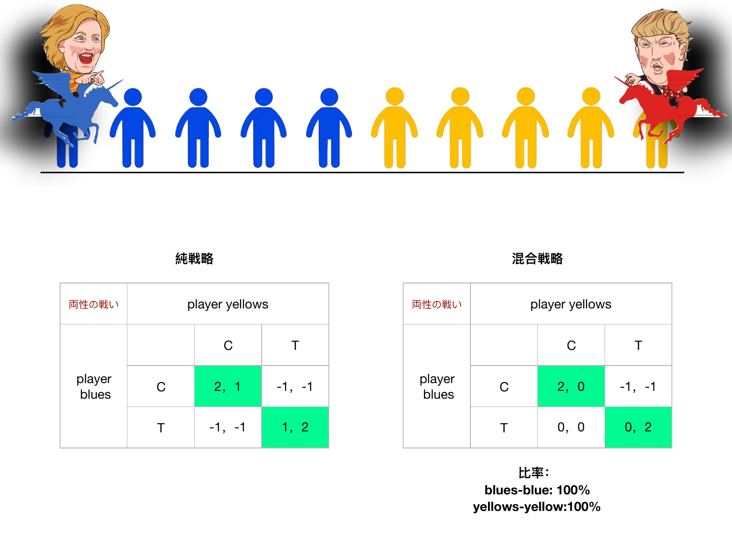

| 両性の戦い           | player yellows |          |                |
|-----------------|----------------|----------|----------------|
| player<br>blues |                | C        | T              |
|                 | C              | 2, 1     | $-1, -1$       |
|                 |                | $-1, -1$ | $\overline{2}$ |

# **純戦略 混合戦略**

| 両性の戦い           | player yellows |      |          |
|-----------------|----------------|------|----------|
| player<br>blues |                | C    | Τ        |
|                 | $\mathsf C$    | 2, 0 | $-1, -1$ |
|                 |                | 0, 0 | 0, 2     |

比率: **blues-blue: 100% yellows-yellow:100%**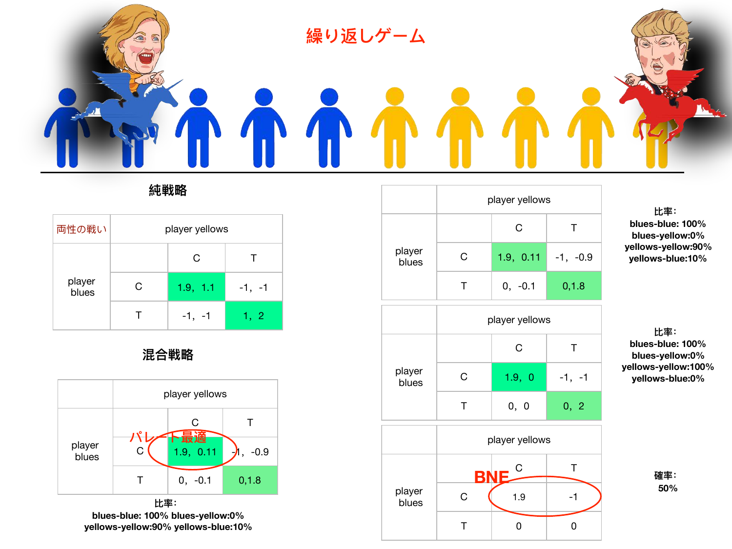

**純戦略**

| 両性の戦い           | player yellows |          |              |
|-----------------|----------------|----------|--------------|
| player<br>blues |                | C        |              |
|                 | C              | 1.9, 1.1 | $-1, -1$     |
|                 |                | $-1, -1$ | $\mathbf{2}$ |

## **混合戦略**



**blues-blue: 100% blues-yellow:0% yellows-yellow:90% yellows-blue:10%**

|                 | player yellows |                      |        |
|-----------------|----------------|----------------------|--------|
|                 |                | C                    |        |
| player<br>blues | C              | $1.9, 0.11$ -1, -0.9 |        |
|                 | $\mathbf{L}$   | $0, -0.1$            | 0, 1.8 |





**⽐率: blues-blue: 100% blues-yellow:0% yellows-yellow:90% yellows-blue:10%**

比率: **blues-blue: 100% blues-yellow:0% yellows-yellow:100% yellows-blue:0%**

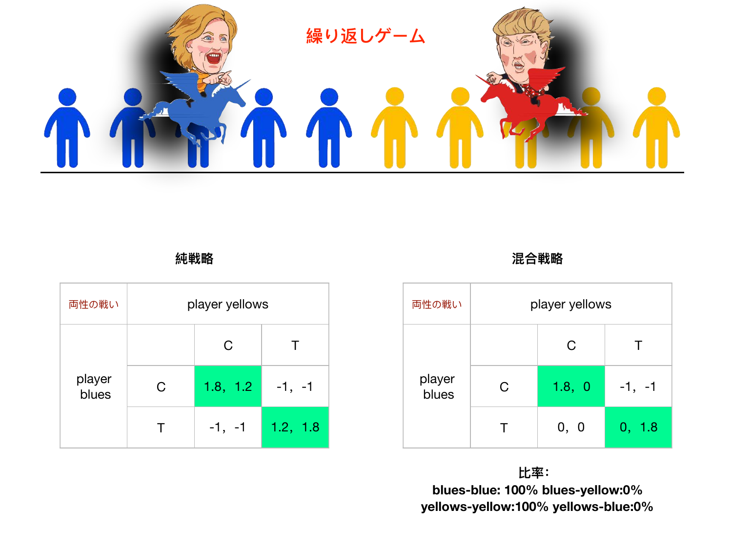

| 両性の戦い           | player yellows |          |          |
|-----------------|----------------|----------|----------|
| player<br>blues |                | C        | Τ        |
|                 | $\mathsf C$    | 1.8, 1.2 | $-1, -1$ |
|                 |                | $-1, -1$ | 1.2, 1.8 |

# **純戦略 混合戦略**

| 両性の戦い           | player yellows |        |           |
|-----------------|----------------|--------|-----------|
| player<br>blues |                | C      | T         |
|                 | $\mathsf C$    | 1.8, 0 | $-1, -1$  |
|                 | Т              | 0, 0   | 0,<br>1.8 |

# 比率:

**blues-blue: 100% blues-yellow:0% yellows-yellow:100% yellows-blue:0%**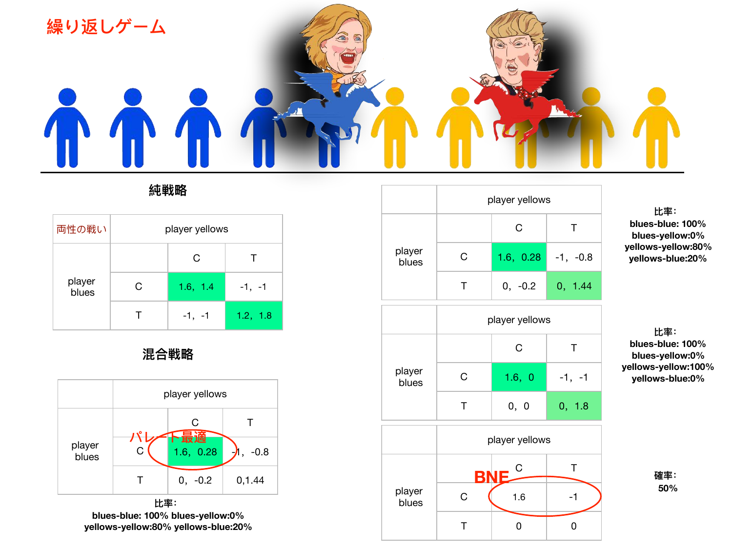

**純戦略**

| 両性の戦い           | player yellows |          |          |
|-----------------|----------------|----------|----------|
| player<br>blues |                | C        |          |
|                 | C              | 1.6, 1.4 | $-1, -1$ |
|                 |                | $-1, -1$ | 1.2, 1.8 |

## **混合戦略**



**blues-blue: 100% blues-yellow:0% yellows-yellow:80% yellows-blue:20%**

|                 | player yellows |           |            |
|-----------------|----------------|-----------|------------|
| player<br>blues |                | C         |            |
|                 | C              | 1.6, 0.28 | $-1, -0.8$ |
|                 |                | $0, -0.2$ | 0, 1.44    |





比率: **blues-blue: 100% blues-yellow:0% yellows-yellow:80% yellows-blue:20%**

比率: **blues-blue: 100% blues-yellow:0% yellows-yellow:100% yellows-blue:0%**

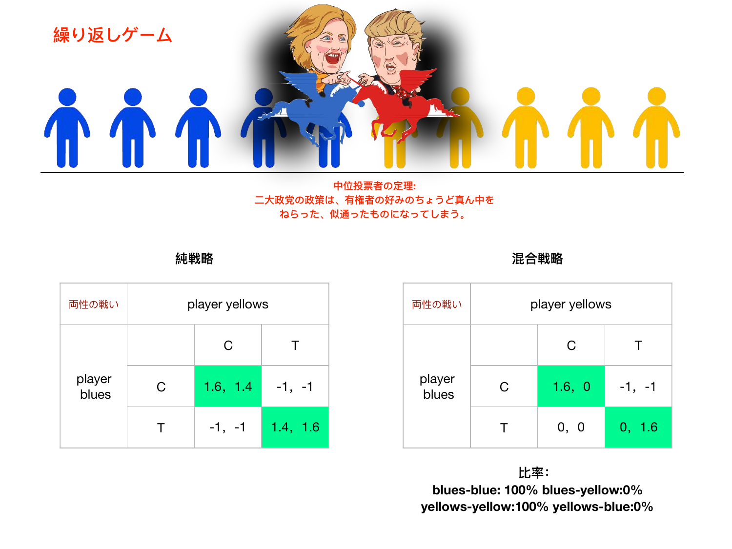

**中位投票者の定理: ⼆⼤政党の政策は、有権者の好みのちょうど真ん中を ねらった、似通ったものになってしまう。**

**純戦略 混合戦略**

| 両性の戦い           | player yellows |             |          |
|-----------------|----------------|-------------|----------|
|                 |                | $\mathsf C$ |          |
| player<br>blues | C              | 1.6, 1.4    | $-1, -1$ |
|                 | T              | $-1, -1$    | 1.4, 1.6 |

| 両性の戦い           | player yellows |        |           |
|-----------------|----------------|--------|-----------|
| player<br>blues |                | C      | Τ         |
|                 | C              | 1.6, 0 | $-1, -1$  |
|                 |                | 0, 0   | 0,<br>1.6 |

## 比率:

**blues-blue: 100% blues-yellow:0% yellows-yellow:100% yellows-blue:0%**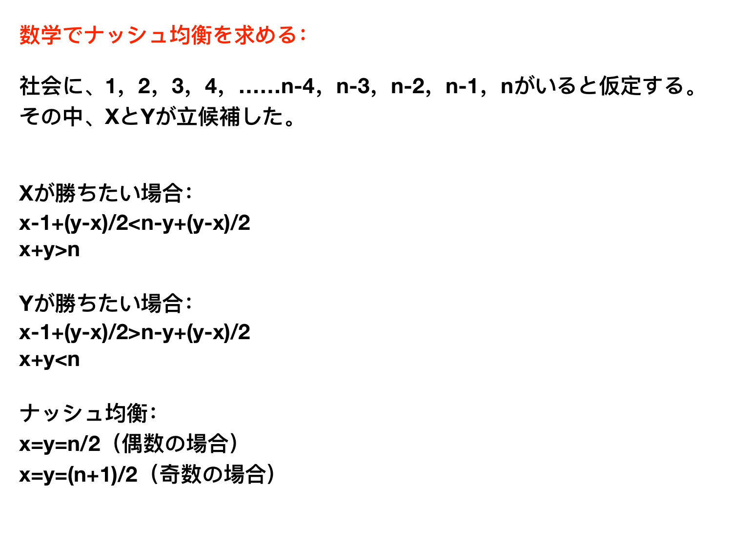**数学でナッシュ均衡を求める:**

**社会に、1,2,3,4,……n-4,n-3,n-2,n-1,nがいると仮定する。 その中、XとYが⽴候補した。**

**Xが勝ちたい場合: x-1+(y-x)/2<n-y+(y-x)/2 x+y>n**

**Yが勝ちたい場合: x-1+(y-x)/2>n-y+(y-x)/2 x+y<n**

**ナッシュ均衡: x=y=n/2(偶数の場合) x=y=(n+1)/2(奇数の場合)**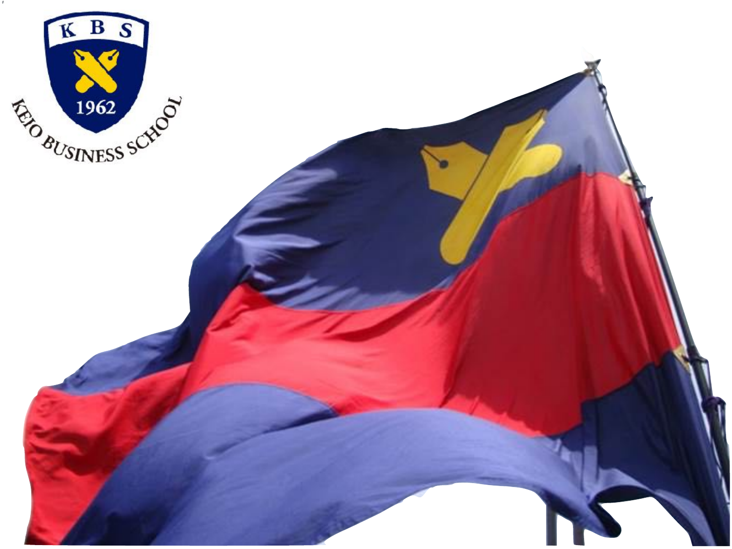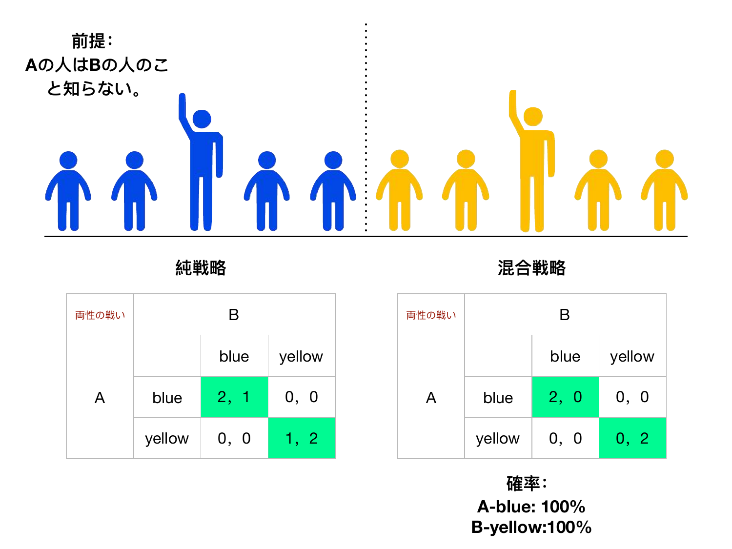

**純戦略 混合戦略**

| 両性の戦い        | Β      |      |                      |
|--------------|--------|------|----------------------|
|              |        | blue | yellow               |
| $\mathsf{A}$ | blue   | 2, 1 | 0, 0                 |
|              | yellow | 0, 0 | $\overline{2}$<br>1, |

| 両性の戦い                     | B      |      |        |
|---------------------------|--------|------|--------|
| $\boldsymbol{\mathsf{A}}$ |        | blue | yellow |
|                           | blue   | 2, 0 | 0, 0   |
|                           | yellow | 0, 0 | 0, 2   |

**確率: A-blue: 100% B-yellow:100%**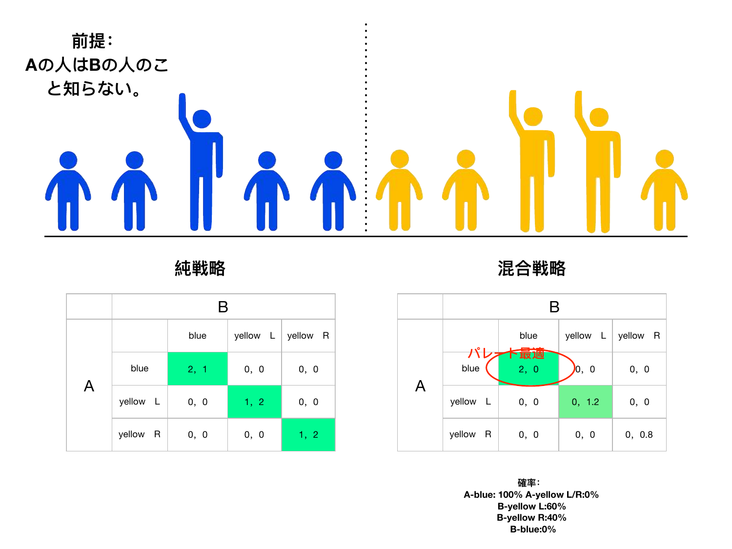

B A blue  $|$  yellow L  $|$  yellow R blue 2, 1 0, 0 0, 0 yellow L  $\begin{array}{|c|c|c|c|c|c|c|c|} \hline 0,0 & 1,2 & 0,0 \ \hline \end{array}$ yellow R  $\begin{array}{|c|c|c|c|c|c|c|c|c|} \hline \text{O}, & \text{O} & \text{O}, & \text{O} & \text{1, 2} \ \hline \end{array}$ 



**確率: A-blue: 100% A-yellow L/R:0% B-yellow L:60% B-yellow R:40% B-blue:0%**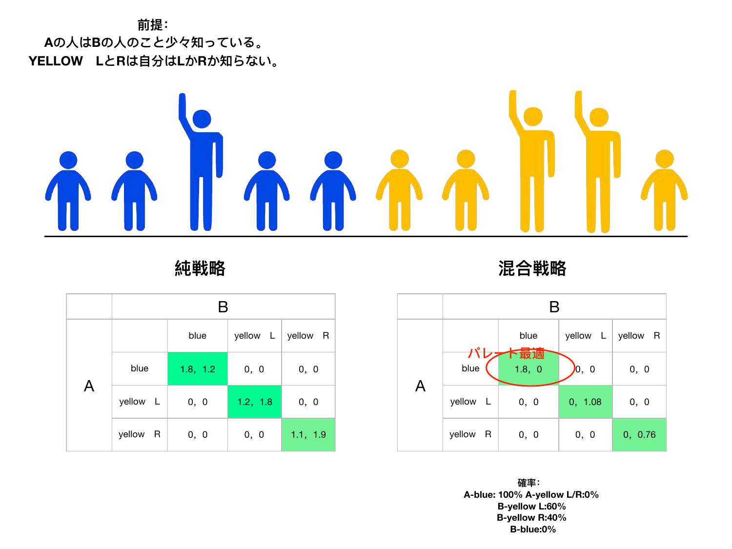# **前提: Aの⼈はBの⼈のこと少々知っている。 YELLOW LとRは⾃分はLかRか知らない。**

**純戦略 混合戦略**

|  | 混合戦略 |  |
|--|------|--|
|  |      |  |

|   | B                                 |          |          |          |
|---|-----------------------------------|----------|----------|----------|
|   |                                   | blue     | yellow L | yellow R |
| Α | blue                              | 1.8, 1.2 | 0, 0     | 0, 0     |
|   | yellow<br>$\mathsf{L}$            | 0, 0     | 1.2, 1.8 | 0, 0     |
|   | yellow<br>$\overline{\mathsf{R}}$ | 0, 0     | 0, 0     | 1.1, 1.9 |



**確率: A-blue: 100% A-yellow L/R:0% B-yellow L:60% B-yellow R:40% B-blue:0%**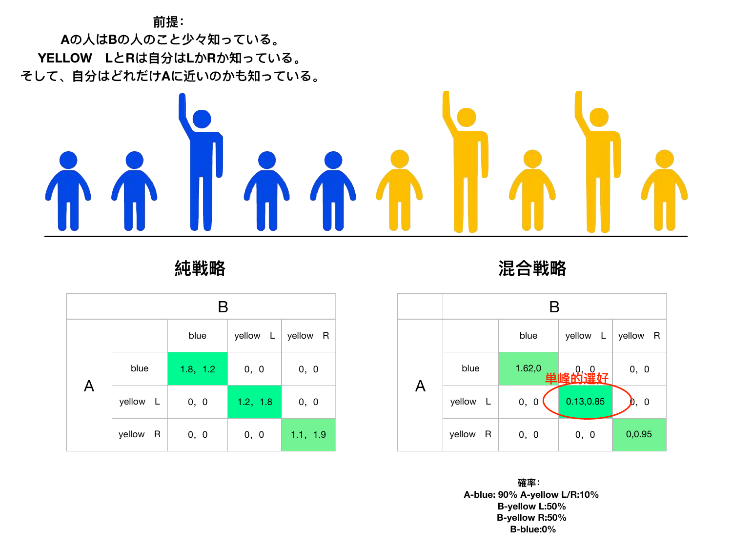# **前提: Aの⼈はBの⼈のこと少々知っている。 YELLOW LとRは⾃分はLかRか知っている。 そして、⾃分はどれだけAに近いのかも知っている。**

|  | B                      |          |          |          |  |
|--|------------------------|----------|----------|----------|--|
|  |                        | blue     | yellow L | yellow R |  |
|  | blue                   | 1.8, 1.2 | 0, 0     | 0, 0     |  |
|  | yellow<br>$\mathsf{L}$ | 0, 0     | 1.2, 1.8 | 0, 0     |  |
|  | yellow<br>$R_{\rm}$    | 0, 0     | 0, 0     | 1.1, 1.9 |  |



**確率: A-blue: 90% A-yellow L/R:10% B-yellow L:50% B-yellow R:50% B-blue:0%**

**純戦略 混合戦略**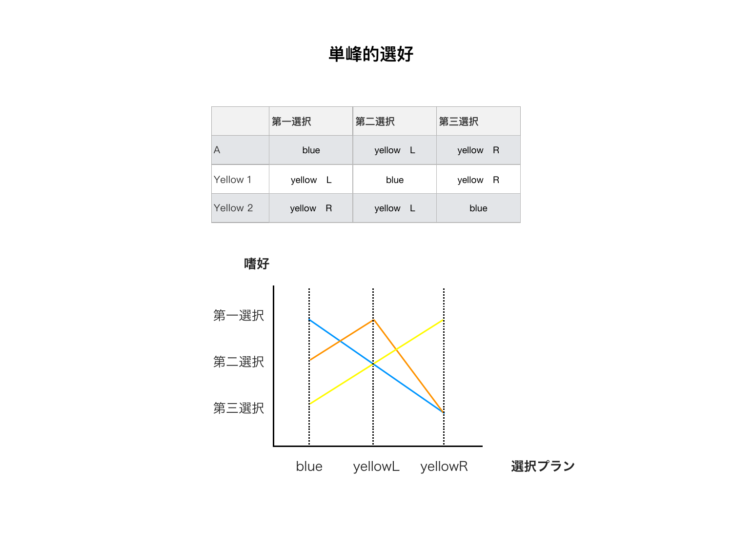# **単峰的選好**

|          | 第一選択     | 第二選択     | 第三選択     |
|----------|----------|----------|----------|
| A        | blue     | yellow L | yellow R |
| Yellow 1 | yellow L | blue     | yellow R |
| Yellow 2 | yellow R | yellow L | blue     |

嗜好